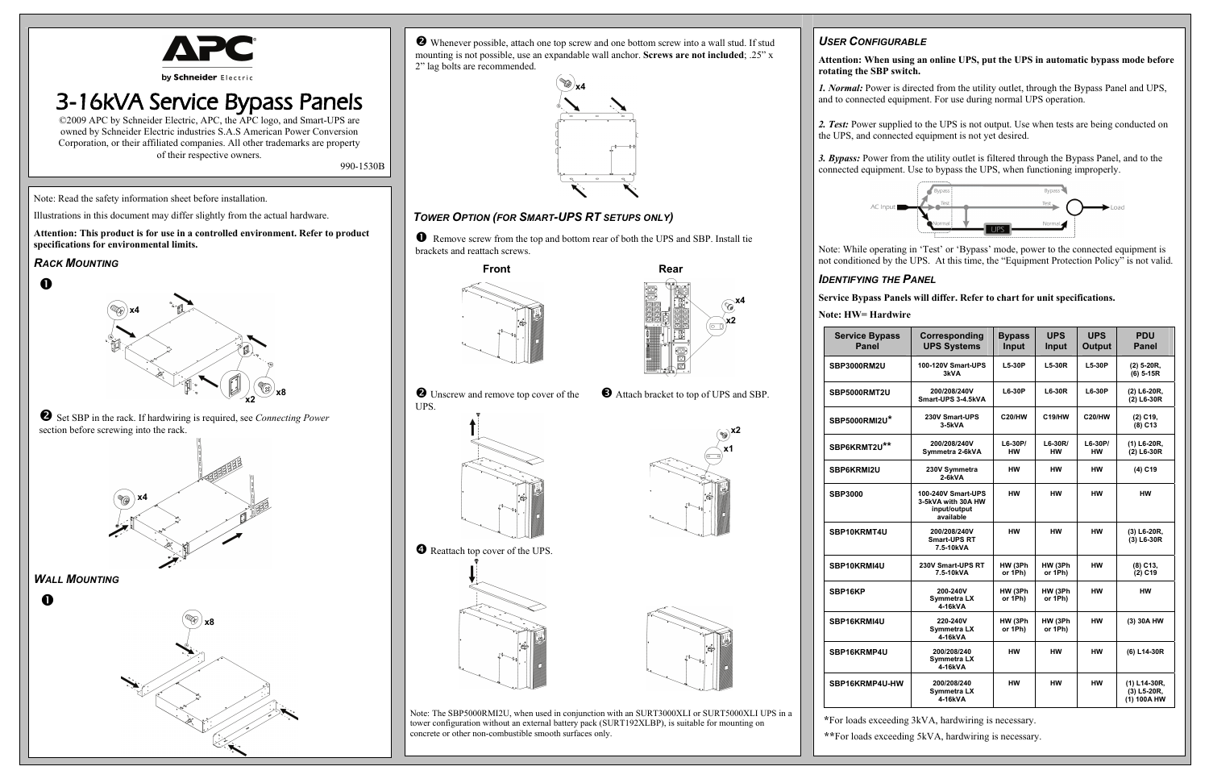

# 3-16kVA Service Bypass Panels

©2009 APC by Schneider Electric, APC, the APC logo, and Smart-UPS are owned by Schneider Electric industries S.A.S American Power Conversion Corporation, or their affiliated companies. All other trademarks are property of their respective owners.

990-1530B

Note: Read the safety information sheet before installation.

Illustrations in this document may differ slightly from the actual hardware.

**Attention: This product is for use in a controlled environment. Refer to product specifications for environmental limits.** 

#### *RACK MOUNTING*

n

o Set SBP in the rack. If hardwiring is required, see *Connecting Power* section before screwing into the rack.

*WALL MOUNTING*

 $\mathbf 0$ 

o Whenever possible, attach one top screw and one bottom screw into a wall stud. If stud mounting is not possible, use an expandable wall anchor. **Screws are not included**; .25" x 2" lag bolts are recommended.

### *TOWER OPTION (FOR SMART-UPS RT SETUPS ONLY)*

n Remove screw from the top and bottom rear of both the UPS and SBP. Install tie brackets and reattach screws.

UPS.

p Attach bracket to top of UPS and SBP.



Note: The SBP5000RMI2U, when used in conjunction with an SURT3000XLI or SURT5000XLI UPS in a tower configuration without an external battery pack (SURT192XLBP), is suitable for mounting on concrete or other non-combustible smooth surfaces only.

### *USER CONFIGURABLE*

**Attention: When using an online UPS, put the UPS in automatic bypass mode before** 



## **rotating the SBP switch.**

*1. Normal:* Power is directed from the utility outlet, through the Bypass Panel and UPS, and to connected equipment. For use during normal UPS operation.

*2. Test:* Power supplied to the UPS is not output. Use when tests are being conducted on the UPS, and connected equipment is not yet desired.

*3. Bypass:* Power from the utility outlet is filtered through the Bypass Panel, and to the connected equipment. Use to bypass the UPS, when functioning improperly.

Note: While operating in 'Test' or 'Bypass' mode, power to the connected equipment is not conditioned by the UPS. At this time, the "Equipment Protection Policy" is not valid.

**IDENTIFYING THE PANEL** 

**Service Bypass Panels will differ. Refer to chart for unit specifications.**

**Note: HW= Hardwire** 

**Service Bypa Panel SBP3000RM2U** 

**SBP5000RMT2U** 

**SBP5000RMI2U\***

**SBP6KRMT2U\*\***

SBP6KRMI2U

 $SBP3000$ 

SBP10KRMT4U

SBP10KRMI4U

**SBP16KP** 

SBP16KRMI4U

| ass     | <b>Corresponding</b><br><b>UPS Systems</b>                            | <b>Bypass</b><br><b>Input</b> | <b>UPS</b><br>Input    | <b>UPS</b><br><b>Output</b> | <b>PDU</b><br><b>Panel</b>                 |
|---------|-----------------------------------------------------------------------|-------------------------------|------------------------|-----------------------------|--------------------------------------------|
|         | 100-120V Smart-UPS<br>3kVA                                            | $L5-30P$                      | L5-30R                 | L5-30P                      | $(2)$ 5-20R,<br>$(6)$ 5-15R                |
| J       | 200/208/240V<br>Smart-UPS 3-4.5kVA                                    | $L6-30P$                      | $L6-30R$               | <b>L6-30P</b>               | (2) L6-20R,<br>(2) L6-30R                  |
| $\star$ | 230V Smart-UPS<br>3-5kVA                                              | <b>C20/HW</b>                 | C19/HW                 | <b>C20/HW</b>               | (2) C19,<br>$(8)$ C <sub>13</sub>          |
| $\star$ | 200/208/240V<br>Symmetra 2-6kVA                                       | $L6-30P/$<br><b>HW</b>        | $L6-30R/$<br><b>HW</b> | $L6-30P/$<br><b>HW</b>      | (1) L6-20R,<br>(2) L6-30R                  |
|         | 230V Symmetra<br>2-6kVA                                               | <b>HW</b>                     | HW                     | нw                          | (4) C19                                    |
|         | 100-240V Smart-UPS<br>3-5kVA with 30A HW<br>input/output<br>available | <b>HW</b>                     | <b>HW</b>              | <b>HW</b>                   | <b>HW</b>                                  |
|         | 200/208/240V<br><b>Smart-UPS RT</b><br>7.5-10kVA                      | <b>HW</b>                     | <b>HW</b>              | <b>HW</b>                   | (3) L6-20R,<br>(3) L6-30R                  |
|         | 230V Smart-UPS RT<br>7.5-10kVA                                        | HW (3Ph<br>or 1Ph)            | HW (3Ph<br>or 1Ph)     | <b>HW</b>                   | (8) C13,<br>$(2)$ C <sub>19</sub>          |
|         | 200-240V<br><b>Symmetra LX</b><br>4-16kVA                             | HW (3Ph<br>or 1Ph)            | HW (3Ph<br>or 1Ph)     | <b>HW</b>                   | нw                                         |
|         | 220-240V<br><b>Symmetra LX</b><br>4-16kVA                             | HW (3Ph<br>or 1Ph)            | HW (3Ph<br>or 1Ph)     | <b>HW</b>                   | (3) 30A HW                                 |
|         | 200/208/240<br><b>Symmetra LX</b><br>4-16kVA                          | <b>HW</b>                     | нw                     | <b>HW</b>                   | (6) L14-30R                                |
| -HW     | 200/208/240<br>Symmetra LX<br>4-16kVA                                 | <b>HW</b>                     | HW                     | <b>HW</b>                   | (1) L14-30R,<br>(3) L5-20R,<br>(1) 100A HW |

**SBP16KRMP4U 200/208/240** 

SBP16KRMP4U

**\***For loads exceeding 3kVA, hardwiring is necessary.

 **\*\***For loads exceeding 5kVA, hardwiring is necessary.









**O** Unscrew and remove top cover of the



**x1** 







**x2**